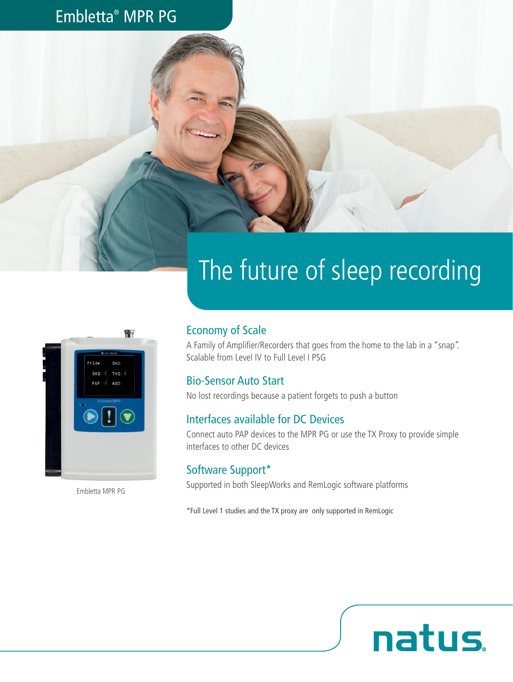## Embletta® MPR PG





Embletta MPR PG

### Economy of Scale

A Family of Amplifier/Recorders that goes from the home to the lab in a "snap". Scalable from Level IV to Full Level I PSG

### Bio-Sensor Auto Start

No lost recordings because a patient forgets to push a button

### Interfaces available for DC Devices

Connect auto PAP devices to the MPR PG or use the TX Proxy to provide simple interfaces to other DC devices

natus.

### Software Support\*

Supported in both SleepWorks and RemLogic software platforms

\*Full Level 1 studies and the TX proxy are only supported in RemLogic